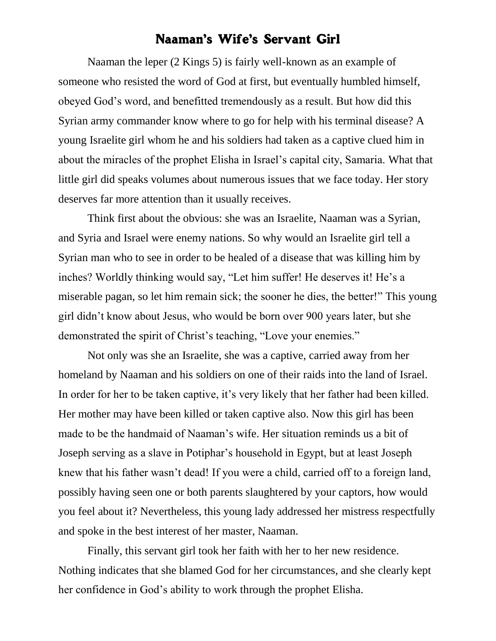## Naaman's Wife's Servant Girl

Naaman the leper (2 Kings 5) is fairly well-known as an example of someone who resisted the word of God at first, but eventually humbled himself, obeyed God's word, and benefitted tremendously as a result. But how did this Syrian army commander know where to go for help with his terminal disease? A young Israelite girl whom he and his soldiers had taken as a captive clued him in about the miracles of the prophet Elisha in Israel's capital city, Samaria. What that little girl did speaks volumes about numerous issues that we face today. Her story deserves far more attention than it usually receives.

Think first about the obvious: she was an Israelite, Naaman was a Syrian, and Syria and Israel were enemy nations. So why would an Israelite girl tell a Syrian man who to see in order to be healed of a disease that was killing him by inches? Worldly thinking would say, "Let him suffer! He deserves it! He's a miserable pagan, so let him remain sick; the sooner he dies, the better!" This young girl didn't know about Jesus, who would be born over 900 years later, but she demonstrated the spirit of Christ's teaching, "Love your enemies."

Not only was she an Israelite, she was a captive, carried away from her homeland by Naaman and his soldiers on one of their raids into the land of Israel. In order for her to be taken captive, it's very likely that her father had been killed. Her mother may have been killed or taken captive also. Now this girl has been made to be the handmaid of Naaman's wife. Her situation reminds us a bit of Joseph serving as a slave in Potiphar's household in Egypt, but at least Joseph knew that his father wasn't dead! If you were a child, carried off to a foreign land, possibly having seen one or both parents slaughtered by your captors, how would you feel about it? Nevertheless, this young lady addressed her mistress respectfully and spoke in the best interest of her master, Naaman.

Finally, this servant girl took her faith with her to her new residence. Nothing indicates that she blamed God for her circumstances, and she clearly kept her confidence in God's ability to work through the prophet Elisha.